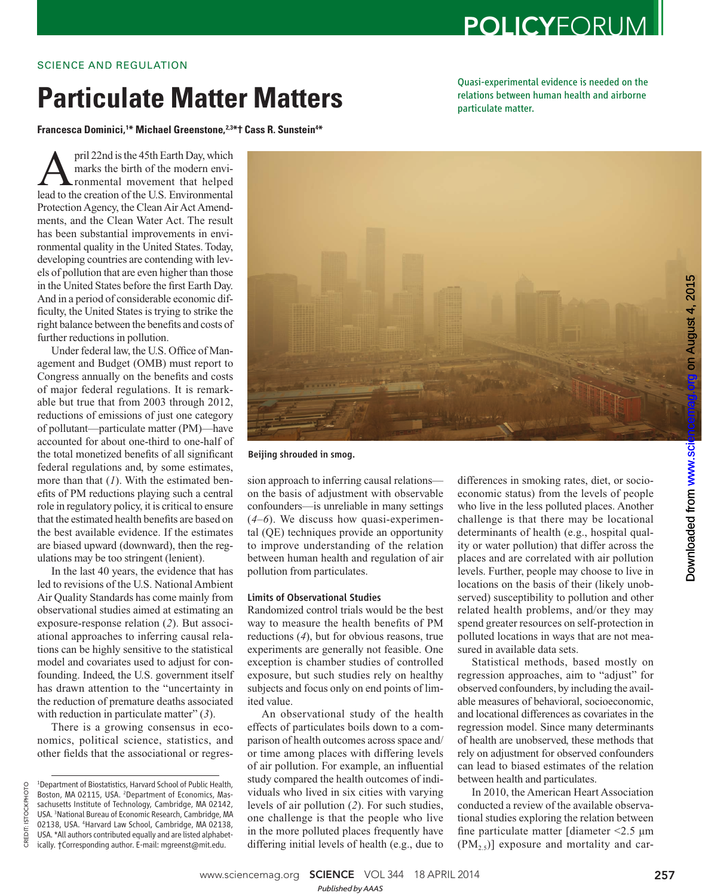# POLICYFORUM

## SCIENCE AND REGULATION

# **Particulate Matter Matters**

**Francesca Dominici, <sup>1</sup>\* Michael Greenstone, 2 ,3 \* † Cass R. Sunstein <sup>4</sup>\*** 

pril 22nd is the 45th Earth Day, which<br>marks the birth of the modern envi-<br>lead to the creation of the U.S. Environmental marks the birth of the modern environmental movement that helped lead to the creation of the U.S. Environmental Protection Agency, the Clean Air Act Amendments, and the Clean Water Act. The result has been substantial improvements in environmental quality in the United States. Today, developing countries are contending with levels of pollution that are even higher than those in the United States before the first Earth Day. And in a period of considerable economic difficulty, the United States is trying to strike the right balance between the benefits and costs of further reductions in pollution.

Under federal law, the U.S. Office of Management and Budget (OMB) must report to Congress annually on the benefits and costs of major federal regulations. It is remarkable but true that from 2003 through 2012, reductions of emissions of just one category of pollutant—particulate matter (PM)—have accounted for about one-third to one-half of the total monetized benefits of all significant federal regulations and, by some estimates, more than that  $(1)$ . With the estimated benefits of PM reductions playing such a central role in regulatory policy, it is critical to ensure that the estimated health benefits are based on the best available evidence. If the estimates are biased upward (downward), then the regulations may be too stringent (lenient).

In the last 40 years, the evidence that has led to revisions of the U.S. National Ambient Air Quality Standards has come mainly from observational studies aimed at estimating an exposure-response relation (2). But associational approaches to inferring causal relations can be highly sensitive to the statistical model and covariates used to adjust for confounding. Indeed, the U.S. government itself has drawn attention to the "uncertainty in the reduction of premature deaths associated with reduction in particulate matter" (3).

There is a growing consensus in economics, political science, statistics, and other fields that the associational or regresQuasi-experimental evidence is needed on the relations between human health and airborne particulate matter.



Beijing shrouded in smog.

sion approach to inferring causal relations on the basis of adjustment with observable confounders—is unreliable in many settings  $(4-6)$ . We discuss how quasi-experimental (QE) techniques provide an opportunity to improve understanding of the relation between human health and regulation of air pollution from particulates.

### Limits of Observational Studies

Randomized control trials would be the best way to measure the health benefits of PM reductions (4), but for obvious reasons, true experiments are generally not feasible. One exception is chamber studies of controlled exposure, but such studies rely on healthy subjects and focus only on end points of limited value.

An observational study of the health effects of particulates boils down to a comparison of health outcomes across space and/ or time among places with differing levels of air pollution. For example, an influential study compared the health outcomes of individuals who lived in six cities with varying levels of air pollution (2). For such studies, one challenge is that the people who live in the more polluted places frequently have differing initial levels of health (e.g., due to

differences in smoking rates, diet, or socioeconomic status) from the levels of people who live in the less polluted places. Another challenge is that there may be locational determinants of health (e.g., hospital quality or water pollution) that differ across the places and are correlated with air pollution levels. Further, people may choose to live in locations on the basis of their (likely unobserved) susceptibility to pollution and other related health problems, and/or they may spend greater resources on self-protection in polluted locations in ways that are not measured in available data sets.

Statistical methods, based mostly on regression approaches, aim to "adjust" for observed confounders, by including the available measures of behavioral, socioeconomic, and locational differences as covariates in the regression model. Since many determinants of health are unobserved, these methods that rely on adjustment for observed confounders can lead to biased estimates of the relation between health and particulates.

In 2010, the American Heart Association conducted a review of the available observational studies exploring the relation between fine particulate matter [diameter  $\leq$ 2.5 µm  $(PM_{2.5})$ ] exposure and mortality and car-

<sup>&</sup>lt;sup>1</sup>Department of Biostatistics, Harvard School of Public Health, Boston, MA 02115, USA. <sup>2</sup>Department of Economics, Massachusetts Institute of Technology, Cambridge, MA 02142, USA. <sup>3</sup>National Bureau of Economic Research, Cambridge, MA 02138, USA. <sup>4</sup>Harvard Law School, Cambridge, MA 02138, USA. \*All authors contributed equally and are listed alphabetically. †Corresponding author. E-mail: mgreenst@mit.edu.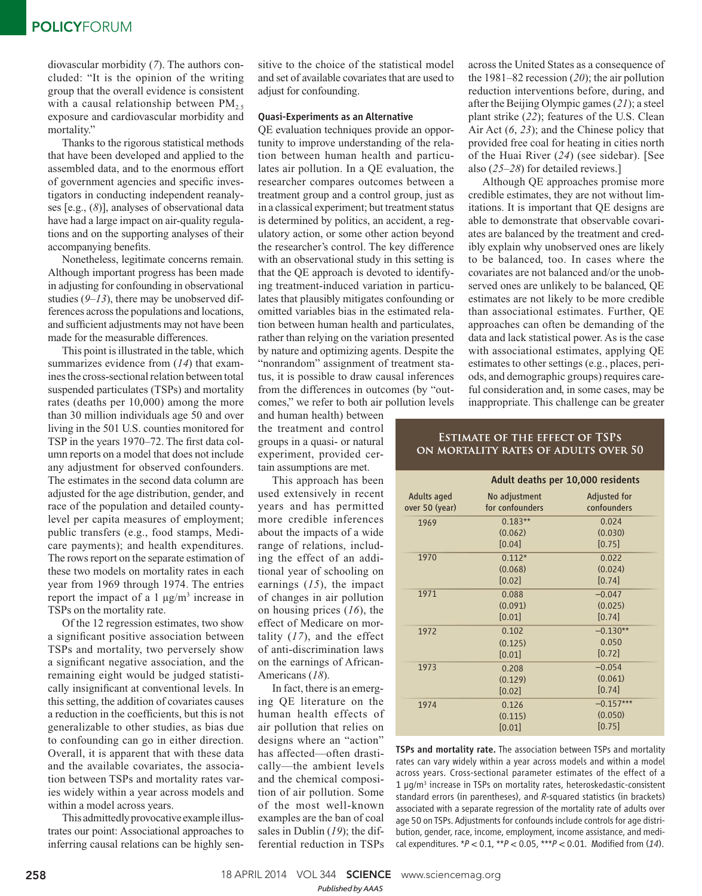diovascular morbidity ( *7*). The authors concluded: "It is the opinion of the writing group that the overall evidence is consistent with a causal relationship between  $PM_{2.5}$ exposure and cardiovascular morbidity and mortality."

Thanks to the rigorous statistical methods that have been developed and applied to the assembled data, and to the enormous effort of government agencies and specific investigators in conducting independent reanalyses  $[e.g., (8)]$ , analyses of observational data have had a large impact on air-quality regulations and on the supporting analyses of their accompanying benefits.

Nonetheless, legitimate concerns remain. Although important progress has been made in adjusting for confounding in observational studies  $(9-13)$ , there may be unobserved differences across the populations and locations, and sufficient adjustments may not have been made for the measurable differences.

This point is illustrated in the table, which summarizes evidence from (14) that examines the cross-sectional relation between total suspended particulates (TSPs) and mortality rates (deaths per 10,000) among the more than 30 million individuals age 50 and over living in the 501 U.S. counties monitored for TSP in the years 1970–72. The first data column reports on a model that does not include any adjustment for observed confounders. The estimates in the second data column are adjusted for the age distribution, gender, and race of the population and detailed countylevel per capita measures of employment; public transfers (e.g., food stamps, Medicare payments); and health expenditures. The rows report on the separate estimation of these two models on mortality rates in each year from 1969 through 1974. The entries report the impact of a  $1 \mu g/m^3$  increase in TSPs on the mortality rate.

Of the 12 regression estimates, two show a significant positive association between TSPs and mortality, two perversely show a significant negative association, and the remaining eight would be judged statistically insignificant at conventional levels. In this setting, the addition of covariates causes a reduction in the coefficients, but this is not generalizable to other studies, as bias due to confounding can go in either direction. Overall, it is apparent that with these data and the available covariates, the association between TSPs and mortality rates varies widely within a year across models and within a model across years.

This admittedly provocative example illustrates our point: Associational approaches to inferring causal relations can be highly sen-

sitive to the choice of the statistical model and set of available covariates that are used to adjust for confounding.

#### Quasi-Experiments as an Alternative

QE evaluation techniques provide an opportunity to improve understanding of the relation between human health and particulates air pollution. In a QE evaluation, the researcher compares outcomes between a treatment group and a control group, just as in a classical experiment; but treatment status is determined by politics, an accident, a regulatory action, or some other action beyond the researcher's control. The key difference with an observational study in this setting is that the QE approach is devoted to identifying treatment-induced variation in particulates that plausibly mitigates confounding or omitted variables bias in the estimated relation between human health and particulates, rather than relying on the variation presented by nature and optimizing agents. Despite the "nonrandom" assignment of treatment status, it is possible to draw causal inferences from the differences in outcomes (by "outcomes," we refer to both air pollution levels

and human health) between the treatment and control groups in a quasi- or natural experiment, provided certain assumptions are met.

This approach has been used extensively in recent years and has permitted more credible inferences about the impacts of a wide range of relations, including the effect of an additional year of schooling on earnings (15), the impact of changes in air pollution on housing prices ( *16*), the effect of Medicare on mortality  $(17)$ , and the effect of anti-discrimination laws on the earnings of African-Americans (18).

In fact, there is an emerging QE literature on the human health effects of air pollution that relies on designs where an "action" has affected—often drastically—the ambient levels and the chemical composition of air pollution. Some of the most well-known examples are the ban of coal sales in Dublin (19); the differential reduction in TSPs

across the United States as a consequence of the  $1981-82$  recession  $(20)$ ; the air pollution reduction interventions before, during, and after the Beijing Olympic games ( *21*); a steel plant strike (22); features of the U.S. Clean Air Act (6, 23); and the Chinese policy that provided free coal for heating in cities north of the Huai River ( *24*) (see sidebar). [See also (25–28) for detailed reviews.]

Although QE approaches promise more credible estimates, they are not without limitations. It is important that QE designs are able to demonstrate that observable covariates are balanced by the treatment and credibly explain why unobserved ones are likely to be balanced, too. In cases where the covariates are not balanced and/or the unobserved ones are unlikely to be balanced, QE estimates are not likely to be more credible than associational estimates. Further, QE approaches can often be demanding of the data and lack statistical power. As is the case with associational estimates, applying QE estimates to other settings (e.g., places, periods, and demographic groups) requires careful consideration and, in some cases, may be inappropriate. This challenge can be greater

### ESTIMATE OF THE EFFECT OF TSPS ON MORTALITY RATES OF ADULTS OVER 50

|                               | Adult deaths per 10,000 residents |                             |
|-------------------------------|-----------------------------------|-----------------------------|
| Adults aged<br>over 50 (year) | No adjustment<br>for confounders  | Adjusted for<br>confounders |
| 1969                          | $0.183**$                         | 0.024                       |
|                               | (0.062)                           | (0.030)                     |
|                               | [0.04]                            | [0.75]                      |
| 1970                          | $0.112*$                          | 0.022                       |
|                               | (0.068)                           | (0.024)                     |
|                               | [0.02]                            | [0.74]                      |
| 1971                          | 0.088                             | $-0.047$                    |
|                               | (0.091)                           | (0.025)                     |
|                               | [0.01]                            | [0.74]                      |
| 1972                          | 0.102                             | $-0.130**$                  |
|                               | (0.125)                           | 0.050                       |
|                               | [0.01]                            | [0.72]                      |
| 1973                          | 0.208                             | $-0.054$                    |
|                               | (0.129)                           | (0.061)                     |
|                               | [0.02]                            | [0.74]                      |
| 1974                          | 0.126                             | $-0.157***$                 |
|                               | (0.115)                           | (0.050)                     |
|                               | [0.01]                            | [0.75]                      |
|                               |                                   |                             |

TSPs and mortality rate. The association between TSPs and mortality rates can vary widely within a year across models and within a model across years. Cross-sectional parameter estimates of the effect of a 1 µg/m<sup>3</sup> increase in TSPs on mortality rates, heteroskedastic-consistent standard errors (in parentheses), and *R-*squared statistics (in brackets) associated with a separate regression of the mortality rate of adults over age 50 on TSPs. Adjustments for confounds include controls for age distribution, gender, race, income, employment, income assistance, and medical expenditures.  $*P < 0.1$ ,  $*P < 0.05$ ,  $**P < 0.01$ . Modified from (14).

258 18 APRIL 2014 VOL 344 SCIENCE www.sciencemag.org